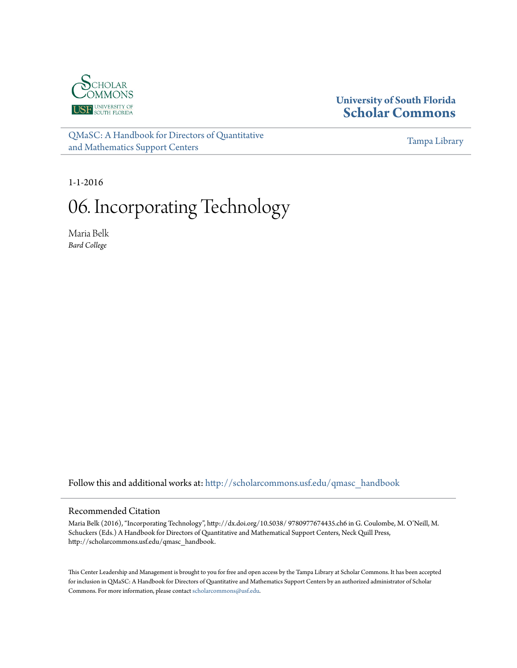

# **University of South Florida [Scholar Commons](http://scholarcommons.usf.edu?utm_source=scholarcommons.usf.edu%2Fqmasc_handbook%2F6&utm_medium=PDF&utm_campaign=PDFCoverPages)**

[QMaSC: A Handbook for Directors of Quantitative](http://scholarcommons.usf.edu/qmasc_handbook?utm_source=scholarcommons.usf.edu%2Fqmasc_handbook%2F6&utm_medium=PDF&utm_campaign=PDFCoverPages) [and Mathematics Support Centers](http://scholarcommons.usf.edu/qmasc_handbook?utm_source=scholarcommons.usf.edu%2Fqmasc_handbook%2F6&utm_medium=PDF&utm_campaign=PDFCoverPages)

[Tampa Library](http://scholarcommons.usf.edu/tlib?utm_source=scholarcommons.usf.edu%2Fqmasc_handbook%2F6&utm_medium=PDF&utm_campaign=PDFCoverPages)

1-1-2016

# 06. Incorporating Technology

Maria Belk *Bard College*

Follow this and additional works at: [http://scholarcommons.usf.edu/qmasc\\_handbook](http://scholarcommons.usf.edu/qmasc_handbook?utm_source=scholarcommons.usf.edu%2Fqmasc_handbook%2F6&utm_medium=PDF&utm_campaign=PDFCoverPages)

#### Recommended Citation

Maria Belk (2016), "Incorporating Technology", http://dx.doi.org/10.5038/ 9780977674435.ch6 in G. Coulombe, M. O'Neill, M. Schuckers (Eds.) A Handbook for Directors of Quantitative and Mathematical Support Centers, Neck Quill Press, http://scholarcommons.usf.edu/qmasc\_handbook.

This Center Leadership and Management is brought to you for free and open access by the Tampa Library at Scholar Commons. It has been accepted for inclusion in QMaSC: A Handbook for Directors of Quantitative and Mathematics Support Centers by an authorized administrator of Scholar Commons. For more information, please contact [scholarcommons@usf.edu](mailto:scholarcommons@usf.edu).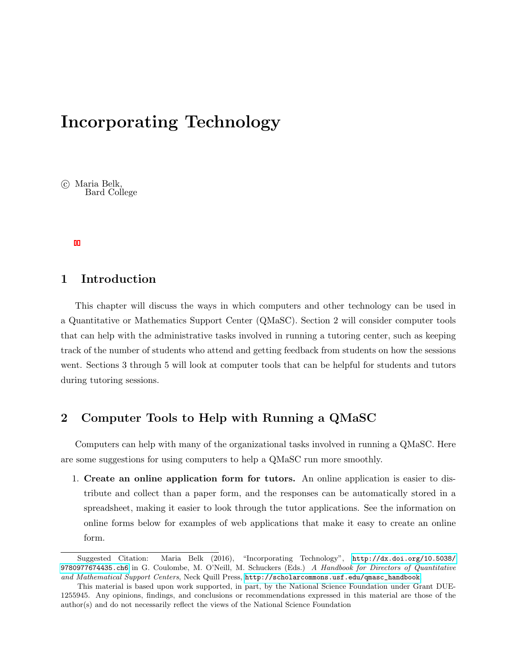# Incorporating Technology

(c) Maria Belk, Bard College

# 1 Introduction

This chapter will discuss the ways in which computers and other technology can be used in a Quantitative or Mathematics Support Center (QMaSC). Section 2 will consider computer tools that can help with the administrative tasks involved in running a tutoring center, such as keeping track of the number of students who attend and getting feedback from students on how the sessions went. Sections 3 through 5 will look at computer tools that can be helpful for students and tutors during tutoring sessions.

# 2 Computer Tools to Help with Running a QMaSC

Computers can help with many of the organizational tasks involved in running a QMaSC. Here are some suggestions for using computers to help a QMaSC run more smoothly.

1. Create an online application form for tutors. An online application is easier to distribute and collect than a paper form, and the responses can be automatically stored in a spreadsheet, making it easier to look through the tutor applications. See the information on online forms below for examples of web applications that make it easy to create an online form.

Suggested Citation: Maria Belk (2016), "Incorporating Technology", [http://dx.doi.org/10.5038/](http://dx.doi.org/10.5038/9780977674435.ch6) [9780977674435.ch6](http://dx.doi.org/10.5038/9780977674435.ch6) in G. Coulombe, M. O'Neill, M. Schuckers (Eds.) A Handbook for Directors of Quantitative and Mathematical Support Centers, Neck Quill Press, [http://scholarcommons.usf.edu/qmasc\\_handbook](http://scholarcommons.usf.edu/qmasc_handbook).

This material is based upon work supported, in part, by the National Science Foundation under Grant DUE-1255945. Any opinions, findings, and conclusions or recommendations expressed in this material are those of the author(s) and do not necessarily reflect the views of the National Science Foundation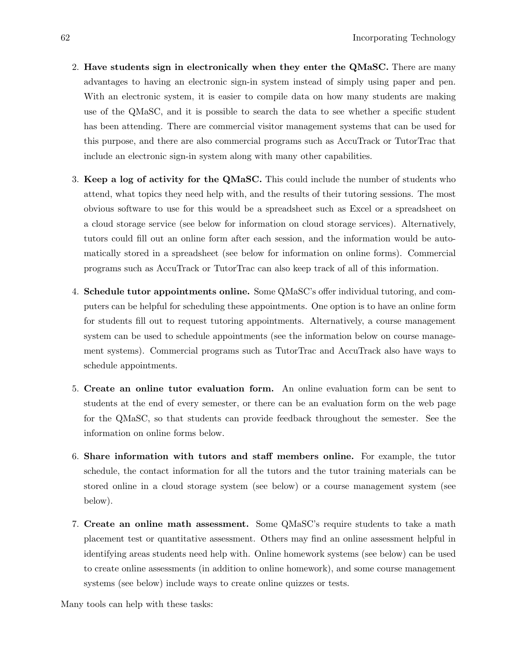- 2. Have students sign in electronically when they enter the QMaSC. There are many advantages to having an electronic sign-in system instead of simply using paper and pen. With an electronic system, it is easier to compile data on how many students are making use of the QMaSC, and it is possible to search the data to see whether a specific student has been attending. There are commercial visitor management systems that can be used for this purpose, and there are also commercial programs such as AccuTrack or TutorTrac that include an electronic sign-in system along with many other capabilities.
- 3. Keep a log of activity for the QMaSC. This could include the number of students who attend, what topics they need help with, and the results of their tutoring sessions. The most obvious software to use for this would be a spreadsheet such as Excel or a spreadsheet on a cloud storage service (see below for information on cloud storage services). Alternatively, tutors could fill out an online form after each session, and the information would be automatically stored in a spreadsheet (see below for information on online forms). Commercial programs such as AccuTrack or TutorTrac can also keep track of all of this information.
- 4. Schedule tutor appointments online. Some QMaSC's offer individual tutoring, and computers can be helpful for scheduling these appointments. One option is to have an online form for students fill out to request tutoring appointments. Alternatively, a course management system can be used to schedule appointments (see the information below on course management systems). Commercial programs such as TutorTrac and AccuTrack also have ways to schedule appointments.
- 5. Create an online tutor evaluation form. An online evaluation form can be sent to students at the end of every semester, or there can be an evaluation form on the web page for the QMaSC, so that students can provide feedback throughout the semester. See the information on online forms below.
- 6. Share information with tutors and staff members online. For example, the tutor schedule, the contact information for all the tutors and the tutor training materials can be stored online in a cloud storage system (see below) or a course management system (see below).
- 7. Create an online math assessment. Some QMaSC's require students to take a math placement test or quantitative assessment. Others may find an online assessment helpful in identifying areas students need help with. Online homework systems (see below) can be used to create online assessments (in addition to online homework), and some course management systems (see below) include ways to create online quizzes or tests.

Many tools can help with these tasks: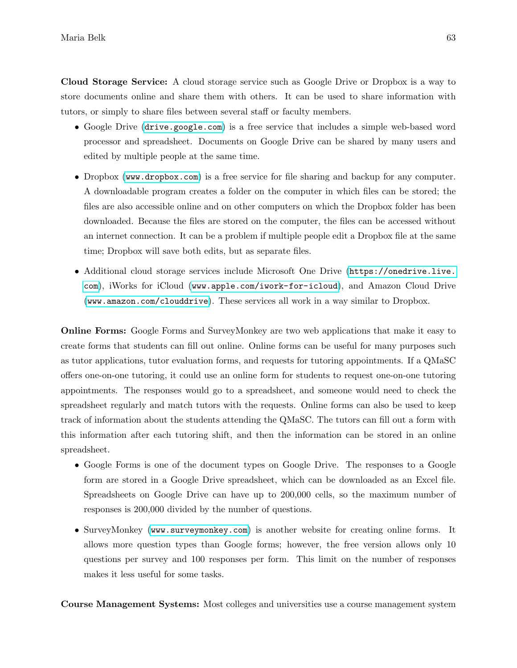Cloud Storage Service: A cloud storage service such as Google Drive or Dropbox is a way to store documents online and share them with others. It can be used to share information with tutors, or simply to share files between several staff or faculty members.

- Google Drive (<drive.google.com>) is a free service that includes a simple web-based word processor and spreadsheet. Documents on Google Drive can be shared by many users and edited by multiple people at the same time.
- Dropbox (<www.dropbox.com>) is a free service for file sharing and backup for any computer. A downloadable program creates a folder on the computer in which files can be stored; the files are also accessible online and on other computers on which the Dropbox folder has been downloaded. Because the files are stored on the computer, the files can be accessed without an internet connection. It can be a problem if multiple people edit a Dropbox file at the same time; Dropbox will save both edits, but as separate files.
- Additional cloud storage services include Microsoft One Drive ([https://onedrive.live.](https://onedrive.live.com) [com](https://onedrive.live.com)), iWorks for iCloud (<www.apple.com/iwork-for-icloud>), and Amazon Cloud Drive (<www.amazon.com/clouddrive>). These services all work in a way similar to Dropbox.

Online Forms: Google Forms and SurveyMonkey are two web applications that make it easy to create forms that students can fill out online. Online forms can be useful for many purposes such as tutor applications, tutor evaluation forms, and requests for tutoring appointments. If a QMaSC offers one-on-one tutoring, it could use an online form for students to request one-on-one tutoring appointments. The responses would go to a spreadsheet, and someone would need to check the spreadsheet regularly and match tutors with the requests. Online forms can also be used to keep track of information about the students attending the QMaSC. The tutors can fill out a form with this information after each tutoring shift, and then the information can be stored in an online spreadsheet.

- Google Forms is one of the document types on Google Drive. The responses to a Google form are stored in a Google Drive spreadsheet, which can be downloaded as an Excel file. Spreadsheets on Google Drive can have up to 200,000 cells, so the maximum number of responses is 200,000 divided by the number of questions.
- SurveyMonkey (<www.surveymonkey.com>) is another website for creating online forms. It allows more question types than Google forms; however, the free version allows only 10 questions per survey and 100 responses per form. This limit on the number of responses makes it less useful for some tasks.

Course Management Systems: Most colleges and universities use a course management system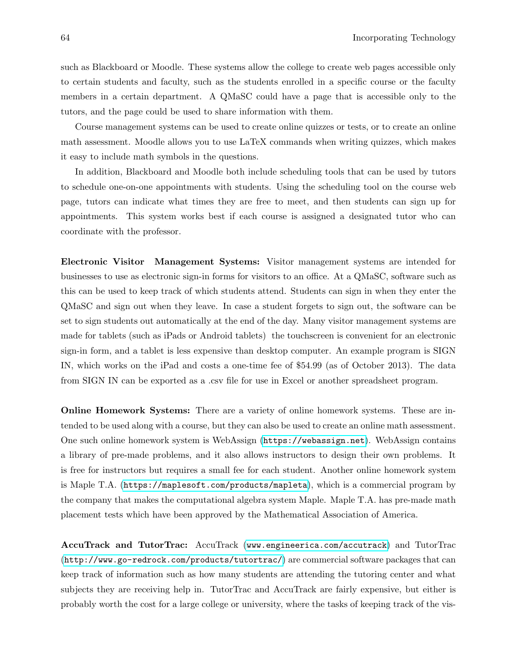such as Blackboard or Moodle. These systems allow the college to create web pages accessible only to certain students and faculty, such as the students enrolled in a specific course or the faculty members in a certain department. A QMaSC could have a page that is accessible only to the tutors, and the page could be used to share information with them.

Course management systems can be used to create online quizzes or tests, or to create an online math assessment. Moodle allows you to use LaTeX commands when writing quizzes, which makes it easy to include math symbols in the questions.

In addition, Blackboard and Moodle both include scheduling tools that can be used by tutors to schedule one-on-one appointments with students. Using the scheduling tool on the course web page, tutors can indicate what times they are free to meet, and then students can sign up for appointments. This system works best if each course is assigned a designated tutor who can coordinate with the professor.

Electronic Visitor Management Systems: Visitor management systems are intended for businesses to use as electronic sign-in forms for visitors to an office. At a QMaSC, software such as this can be used to keep track of which students attend. Students can sign in when they enter the QMaSC and sign out when they leave. In case a student forgets to sign out, the software can be set to sign students out automatically at the end of the day. Many visitor management systems are made for tablets (such as iPads or Android tablets) the touchscreen is convenient for an electronic sign-in form, and a tablet is less expensive than desktop computer. An example program is SIGN IN, which works on the iPad and costs a one-time fee of \$54.99 (as of October 2013). The data from SIGN IN can be exported as a .csv file for use in Excel or another spreadsheet program.

Online Homework Systems: There are a variety of online homework systems. These are intended to be used along with a course, but they can also be used to create an online math assessment. One such online homework system is WebAssign (<https://webassign.net>). WebAssign contains a library of pre-made problems, and it also allows instructors to design their own problems. It is free for instructors but requires a small fee for each student. Another online homework system is Maple T.A. (<https://maplesoft.com/products/mapleta>), which is a commercial program by the company that makes the computational algebra system Maple. Maple T.A. has pre-made math placement tests which have been approved by the Mathematical Association of America.

AccuTrack and TutorTrac: AccuTrack (<www.engineerica.com/accutrack>) and TutorTrac (<http://www.go-redrock.com/products/tutortrac/>) are commercial software packages that can keep track of information such as how many students are attending the tutoring center and what subjects they are receiving help in. TutorTrac and AccuTrack are fairly expensive, but either is probably worth the cost for a large college or university, where the tasks of keeping track of the vis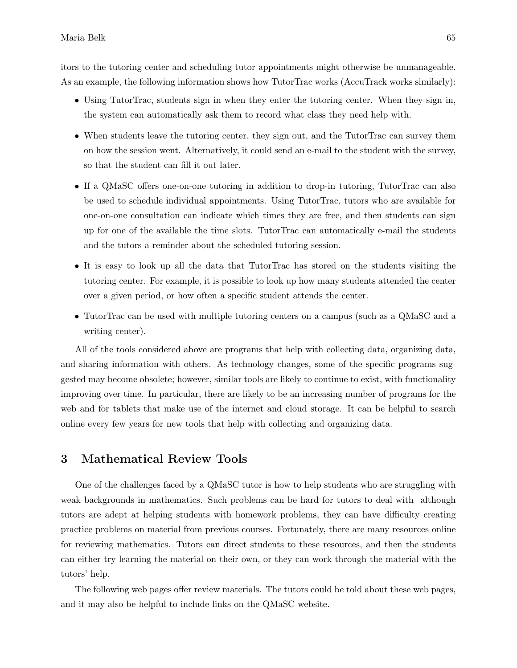itors to the tutoring center and scheduling tutor appointments might otherwise be unmanageable. As an example, the following information shows how TutorTrac works (AccuTrack works similarly):

- Using TutorTrac, students sign in when they enter the tutoring center. When they sign in, the system can automatically ask them to record what class they need help with.
- When students leave the tutoring center, they sign out, and the TutorTrac can survey them on how the session went. Alternatively, it could send an e-mail to the student with the survey, so that the student can fill it out later.
- If a QMaSC offers one-on-one tutoring in addition to drop-in tutoring, TutorTrac can also be used to schedule individual appointments. Using TutorTrac, tutors who are available for one-on-one consultation can indicate which times they are free, and then students can sign up for one of the available the time slots. TutorTrac can automatically e-mail the students and the tutors a reminder about the scheduled tutoring session.
- It is easy to look up all the data that TutorTrac has stored on the students visiting the tutoring center. For example, it is possible to look up how many students attended the center over a given period, or how often a specific student attends the center.
- TutorTrac can be used with multiple tutoring centers on a campus (such as a QMaSC and a writing center).

All of the tools considered above are programs that help with collecting data, organizing data, and sharing information with others. As technology changes, some of the specific programs suggested may become obsolete; however, similar tools are likely to continue to exist, with functionality improving over time. In particular, there are likely to be an increasing number of programs for the web and for tablets that make use of the internet and cloud storage. It can be helpful to search online every few years for new tools that help with collecting and organizing data.

#### 3 Mathematical Review Tools

One of the challenges faced by a QMaSC tutor is how to help students who are struggling with weak backgrounds in mathematics. Such problems can be hard for tutors to deal with although tutors are adept at helping students with homework problems, they can have difficulty creating practice problems on material from previous courses. Fortunately, there are many resources online for reviewing mathematics. Tutors can direct students to these resources, and then the students can either try learning the material on their own, or they can work through the material with the tutors' help.

The following web pages offer review materials. The tutors could be told about these web pages, and it may also be helpful to include links on the QMaSC website.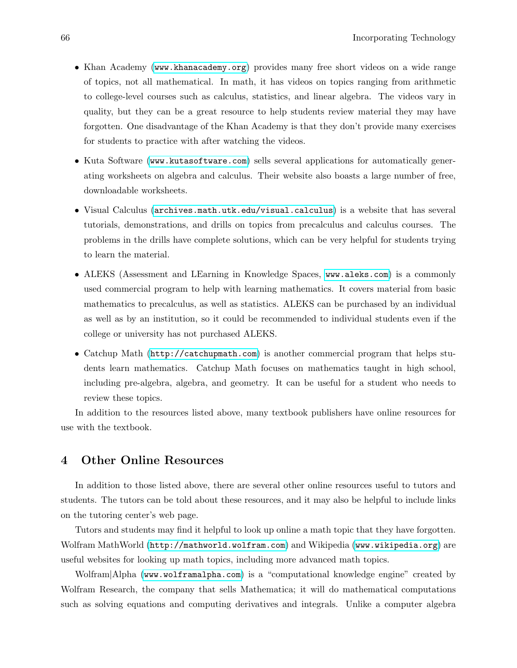- Khan Academy (<www.khanacademy.org>) provides many free short videos on a wide range of topics, not all mathematical. In math, it has videos on topics ranging from arithmetic to college-level courses such as calculus, statistics, and linear algebra. The videos vary in quality, but they can be a great resource to help students review material they may have forgotten. One disadvantage of the Khan Academy is that they don't provide many exercises for students to practice with after watching the videos.
- Kuta Software (<www.kutasoftware.com>) sells several applications for automatically generating worksheets on algebra and calculus. Their website also boasts a large number of free, downloadable worksheets.
- Visual Calculus (<archives.math.utk.edu/visual.calculus>) is a website that has several tutorials, demonstrations, and drills on topics from precalculus and calculus courses. The problems in the drills have complete solutions, which can be very helpful for students trying to learn the material.
- ALEKS (Assessment and LEarning in Knowledge Spaces, <www.aleks.com>) is a commonly used commercial program to help with learning mathematics. It covers material from basic mathematics to precalculus, as well as statistics. ALEKS can be purchased by an individual as well as by an institution, so it could be recommended to individual students even if the college or university has not purchased ALEKS.
- Catchup Math (<http://catchupmath.com>) is another commercial program that helps students learn mathematics. Catchup Math focuses on mathematics taught in high school, including pre-algebra, algebra, and geometry. It can be useful for a student who needs to review these topics.

In addition to the resources listed above, many textbook publishers have online resources for use with the textbook.

# 4 Other Online Resources

In addition to those listed above, there are several other online resources useful to tutors and students. The tutors can be told about these resources, and it may also be helpful to include links on the tutoring center's web page.

Tutors and students may find it helpful to look up online a math topic that they have forgotten. Wolfram MathWorld (<http://mathworld.wolfram.com>) and Wikipedia (<www.wikipedia.org>) are useful websites for looking up math topics, including more advanced math topics.

Wolfram|Alpha (<www.wolframalpha.com>) is a "computational knowledge engine" created by Wolfram Research, the company that sells Mathematica; it will do mathematical computations such as solving equations and computing derivatives and integrals. Unlike a computer algebra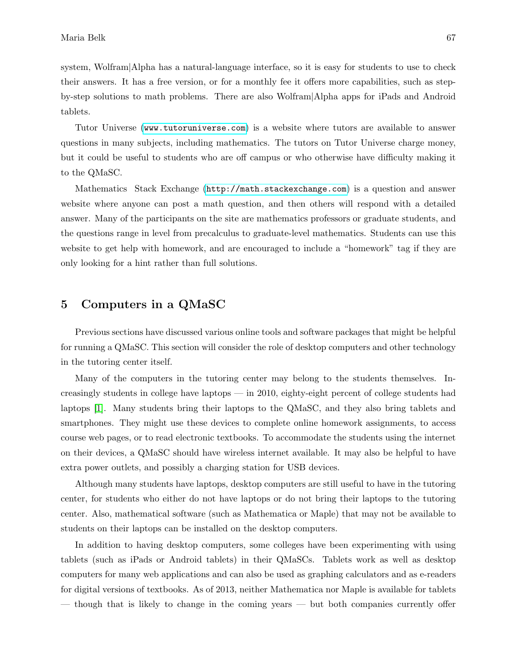system, Wolfram|Alpha has a natural-language interface, so it is easy for students to use to check their answers. It has a free version, or for a monthly fee it offers more capabilities, such as stepby-step solutions to math problems. There are also Wolfram|Alpha apps for iPads and Android tablets.

Tutor Universe (<www.tutoruniverse.com>) is a website where tutors are available to answer questions in many subjects, including mathematics. The tutors on Tutor Universe charge money, but it could be useful to students who are off campus or who otherwise have difficulty making it to the QMaSC.

Mathematics Stack Exchange (<http://math.stackexchange.com>) is a question and answer website where anyone can post a math question, and then others will respond with a detailed answer. Many of the participants on the site are mathematics professors or graduate students, and the questions range in level from precalculus to graduate-level mathematics. Students can use this website to get help with homework, and are encouraged to include a "homework" tag if they are only looking for a hint rather than full solutions.

## 5 Computers in a QMaSC

Previous sections have discussed various online tools and software packages that might be helpful for running a QMaSC. This section will consider the role of desktop computers and other technology in the tutoring center itself.

Many of the computers in the tutoring center may belong to the students themselves. Increasingly students in college have laptops — in 2010, eighty-eight percent of college students had laptops [1]. Many students bring their laptops to the QMaSC, and they also bring tablets and smartphones. They might use these devices to complete online homework assignments, to access course web pages, or to read electronic textbooks. To accommodate the students using the internet on their devices, a QMaSC should have wireless internet available. It may also be helpful to have extra power outlets, and possibly a charging station for USB devices.

Although many students have laptops, desktop computers are still useful to have in the tutoring center, for students who either do not have laptops or do not bring their laptops to the tutoring center. Also, mathematical software (such as Mathematica or Maple) that may not be available to students on their laptops can be installed on the desktop computers.

In addition to having desktop computers, some colleges have been experimenting with using tablets (such as iPads or Android tablets) in their QMaSCs. Tablets work as well as desktop computers for many web applications and can also be used as graphing calculators and as e-readers for digital versions of textbooks. As of 2013, neither Mathematica nor Maple is available for tablets — though that is likely to change in the coming years — but both companies currently offer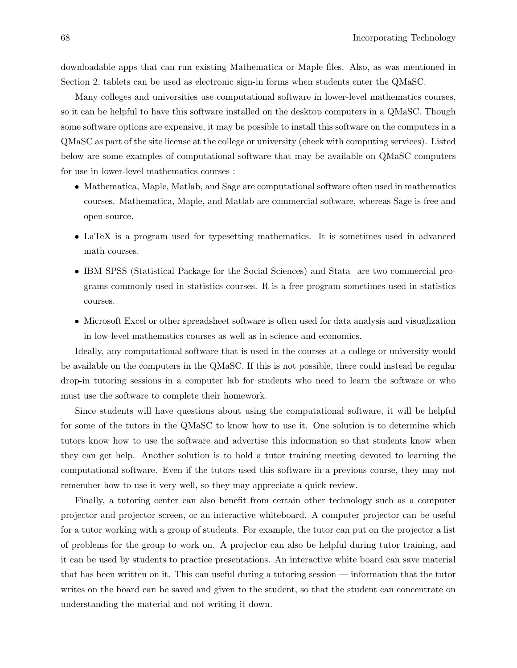downloadable apps that can run existing Mathematica or Maple files. Also, as was mentioned in Section 2, tablets can be used as electronic sign-in forms when students enter the QMaSC.

Many colleges and universities use computational software in lower-level mathematics courses, so it can be helpful to have this software installed on the desktop computers in a QMaSC. Though some software options are expensive, it may be possible to install this software on the computers in a QMaSC as part of the site license at the college or university (check with computing services). Listed below are some examples of computational software that may be available on QMaSC computers for use in lower-level mathematics courses :

- Mathematica, Maple, Matlab, and Sage are computational software often used in mathematics courses. Mathematica, Maple, and Matlab are commercial software, whereas Sage is free and open source.
- LaTeX is a program used for typesetting mathematics. It is sometimes used in advanced math courses.
- IBM SPSS (Statistical Package for the Social Sciences) and Stata are two commercial programs commonly used in statistics courses. R is a free program sometimes used in statistics courses.
- Microsoft Excel or other spreadsheet software is often used for data analysis and visualization in low-level mathematics courses as well as in science and economics.

Ideally, any computational software that is used in the courses at a college or university would be available on the computers in the QMaSC. If this is not possible, there could instead be regular drop-in tutoring sessions in a computer lab for students who need to learn the software or who must use the software to complete their homework.

Since students will have questions about using the computational software, it will be helpful for some of the tutors in the QMaSC to know how to use it. One solution is to determine which tutors know how to use the software and advertise this information so that students know when they can get help. Another solution is to hold a tutor training meeting devoted to learning the computational software. Even if the tutors used this software in a previous course, they may not remember how to use it very well, so they may appreciate a quick review.

Finally, a tutoring center can also benefit from certain other technology such as a computer projector and projector screen, or an interactive whiteboard. A computer projector can be useful for a tutor working with a group of students. For example, the tutor can put on the projector a list of problems for the group to work on. A projector can also be helpful during tutor training, and it can be used by students to practice presentations. An interactive white board can save material that has been written on it. This can useful during a tutoring session — information that the tutor writes on the board can be saved and given to the student, so that the student can concentrate on understanding the material and not writing it down.